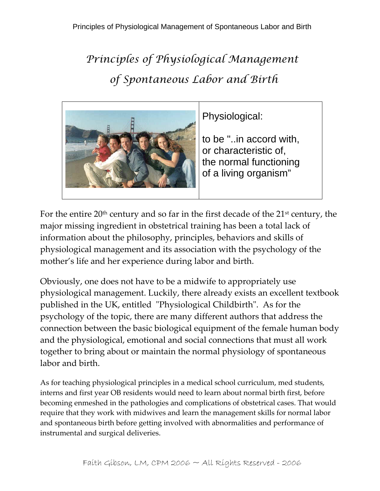## *Principles of Physiological Management of Spontaneous Labor and Birth*



Physiological:

to be "..in accord with, or characteristic of, the normal functioning of a living organism"

For the entire  $20<sup>th</sup>$  century and so far in the first decade of the  $21<sup>st</sup>$  century, the major missing ingredient in obstetrical training has been a total lack of information about the philosophy, principles, behaviors and skills of physiological management and its association with the psychology of the mother's life and her experience during labor and birth.

Obviously, one does not have to be a midwife to appropriately use physiological management. Luckily, there already exists an excellent textbook published in the UK, entitled "Physiological Childbirth". As for the psychology of the topic, there are many different authors that address the connection between the basic biological equipment of the female human body and the physiological, emotional and social connections that must all work together to bring about or maintain the normal physiology of spontaneous labor and birth.

As for teaching physiological principles in a medical school curriculum, med students, interns and first year OB residents would need to learn about normal birth first, before becoming enmeshed in the pathologies and complications of obstetrical cases. That would require that they work with midwives and learn the management skills for normal labor and spontaneous birth before getting involved with abnormalities and performance of instrumental and surgical deliveries.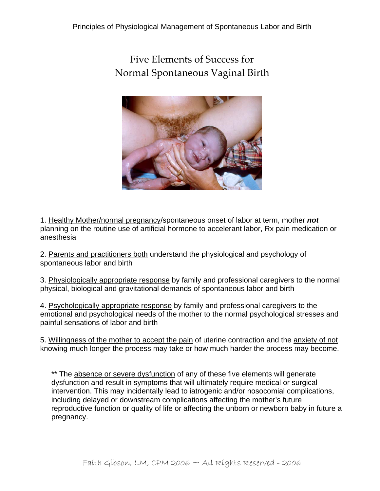Five Elements of Success for Normal Spontaneous Vaginal Birth



1. Healthy Mother/normal pregnancy/spontaneous onset of labor at term, mother *not* planning on the routine use of artificial hormone to accelerant labor, Rx pain medication or anesthesia

2. Parents and practitioners both understand the physiological and psychology of spontaneous labor and birth

3. Physiologically appropriate response by family and professional caregivers to the normal physical, biological and gravitational demands of spontaneous labor and birth

4. Psychologically appropriate response by family and professional caregivers to the emotional and psychological needs of the mother to the normal psychological stresses and painful sensations of labor and birth

5. Willingness of the mother to accept the pain of uterine contraction and the anxiety of not knowing much longer the process may take or how much harder the process may become.

\*\* The absence or severe dysfunction of any of these five elements will generate dysfunction and result in symptoms that will ultimately require medical or surgical intervention. This may incidentally lead to iatrogenic and/or nosocomial complications, including delayed or downstream complications affecting the mother's future reproductive function or quality of life or affecting the unborn or newborn baby in future a pregnancy.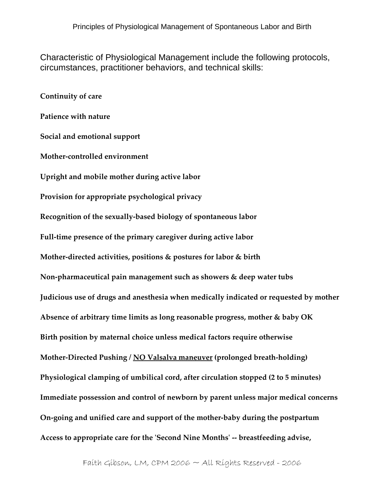Characteristic of Physiological Management include the following protocols, circumstances, practitioner behaviors, and technical skills:

**Continuity of care Patience with nature Social and emotional support Mother‐controlled environment Upright and mobile mother during active labor Provision for appropriate psychological privacy Recognition of the sexually‐based biology of spontaneous labor Full‐time presence of the primary caregiver during active labor Mother‐directed activities, positions & postures for labor & birth Non‐pharmaceutical pain management such as showers & deep water tubs Judicious use of drugs and anesthesia when medically indicated or requested by mother Absence of arbitrary time limits as long reasonable progress, mother & baby OK Birth position by maternal choice unless medical factors require otherwise Mother‐Directed Pushing / NO Valsalva maneuver (prolonged breath‐holding) Physiological clamping of umbilical cord, after circulation stopped (2 to 5 minutes) Immediate possession and control of newborn by parent unless major medical concerns On‐going and unified care and support of the mother‐baby during the postpartum Access to appropriate care for the ʹSecond Nine Monthsʹ ‐‐ breastfeeding advise,**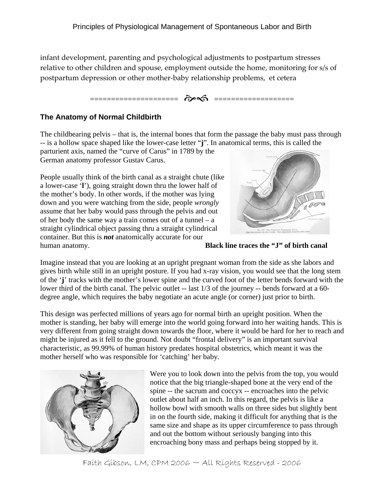infant development, parenting and psychological adjustments to postpartum stresses relative to other children and spouse, employment outside the home, monitoring for s/s of postpartum depression or other mother‐baby relationship problems, et cetera



## **The Anatomy of Normal Childbirth**

The childbearing pelvis – that is, the internal bones that form the passage the baby must pass through -- is a hollow space shaped like the lower-case letter "**j**". In anatomical terms, this is called the

parturient axis, named the "curve of Carus" in 1789 by the German anatomy professor Gustav Carus.

People usually think of the birth canal as a straight chute ( like a lower-case '**l**'), going straight down thru the lower half o f the mother's body. In other words, if the mother was lying down and you were watching from the side, people *wrong ly* assume that her baby would pass through the pelvis and out of her body the same way a train comes out of a tunnel – a straight cylindrical object passing thru a straight cylindrical container. But this is *not* anatomically accurate for our human anatomy. **Black line traces the "J" of birth canal** 



Imagine instead that you are looking at an upright pregnant woman from the side as she labors and gives birth while still in an upright posture. If you had x-ray vision, you would see that the long stem of the '**j**' tracks with the mother's lower spine and the curved foot of the letter bends forward with the lower third of the birth canal. The pelvic outlet -- last  $1/3$  of the journey -- bends forward at a 60degree angle, which requires the baby negotiate an acute angle (or corner) just prior to birth.

This design was perfected millions of years ago for normal birth an upright position. When the mother is standing, her baby will emerge into the world going forward into her waiting hands. This is very different from going straight down towards the floor, where it would be hard for her to reach and might be injured as it fell to the ground. Not doubt "frontal delivery" is an important survival characteristic, as 99.99% of human history predates hospital obstetrics, which meant it was the mother herself who was responsible for 'catching' her baby.



Were you to look down into the pelvis from the top, you would hollow bowl with smooth walls on three sides but slightly bent encroaching bony mass and perhaps being stopped by it. notice that the big triangle-shaped bone at the very end of the spine -- the sacrum and coccyx -- encroaches into the pelvic outlet about half an inch. In this regard, the pelvis is like a in on the fourth side, making it difficult for anything that is the same size and shape as its upper circumference to pass through and out the bottom without seriously banging into this

Faith Gibson, LM, CPM 2006 ~ All Rights Reserved - 2006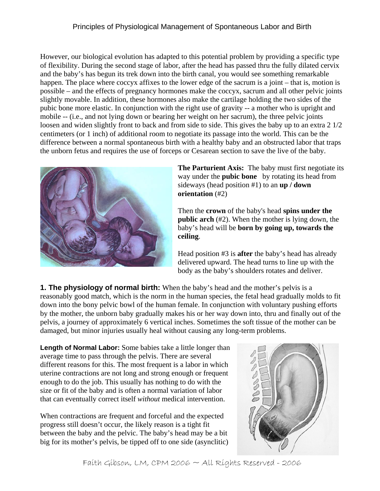## Principles of Physiological Management of Spontaneous Labor and Birth

However, our biological evolution has adapted to this potential problem by providing a specific type happen. The place where coccyx affixes to the lower edge of the sacrum is a joint – that is, motion is loosen and widen slightly front to back and from side to side. This gives the baby up to an extra 2 1/2 difference between a normal spontaneous birth with a healthy baby and an obstructed labor that traps of flexibility. During the second stage of labor, after the head has passed thru the fully dilated cervix and the baby's has begun its trek down into the birth canal, you would see something remarkable possible – and the effects of pregnancy hormones make the coccyx, sacrum and all other pelvic joints slightly movable. In addition, these hormones also make the cartilage holding the two sides of the pubic bone more elastic. In conjunction with the right use of gravity -- a mother who is upright and mobile -- (i.e., and not lying down or bearing her weight on her sacrum), the three pelvic joints centimeters (or 1 inch) of additional room to negotiate its passage into the world. This can be the the unborn fetus and requires the use of forceps or Cesarean section to save the live of the baby.



**The Parturient Axis:** The baby must first negotiate its way under the **pubic bone** by rotating its head from sideways (head position #1) to an **up / down orientation** (#2)

Then the **crown** of the baby's head spins under the public arch (#2). When the mother is lying down, the baby's head will be **born by going up, towards the ceiling**.

Head position #3 is **after** the baby's head has already delivered upward. The head turns to line up with the body as the baby's shoulders rotates and deliver.

**. The physiology of normal birth:** When the baby's head and the mother's pelvis is a **1** reasonably good match, which is the norm in the human species, the fetal head gradually molds to fit down into the bony pelvic bowl of the human female. In conjunction with voluntary pushing efforts by the mother, the unborn baby gradually makes his or her way down into, thru and finally out of the pelvis, a journey of approximately 6 vertical inches. Sometimes the soft tissue of the mother can be damaged, but minor injuries usually heal without causing any long-term problems.

**Length of Normal Labor:** Some babies take a little longer than different reasons for this. The most frequent is a labor in which average time to pass through the pelvis. There are several uterine contractions are not long and strong enough or frequent enough to do the job. This usually has nothing to do with the size or fit of the baby and is often a normal variation of labor that can eventually correct itself *without* medical intervention.

When contractions are frequent and forceful and the expected between the baby and the pelvic. The baby's head may be a bit progress still doesn't occur, the likely reason is a tight fit big for its mother's pelvis, be tipped off to one side (asynclitic)



Faith Gibson, LM, CPM 2006 ~ All Rights Reserved - 2006